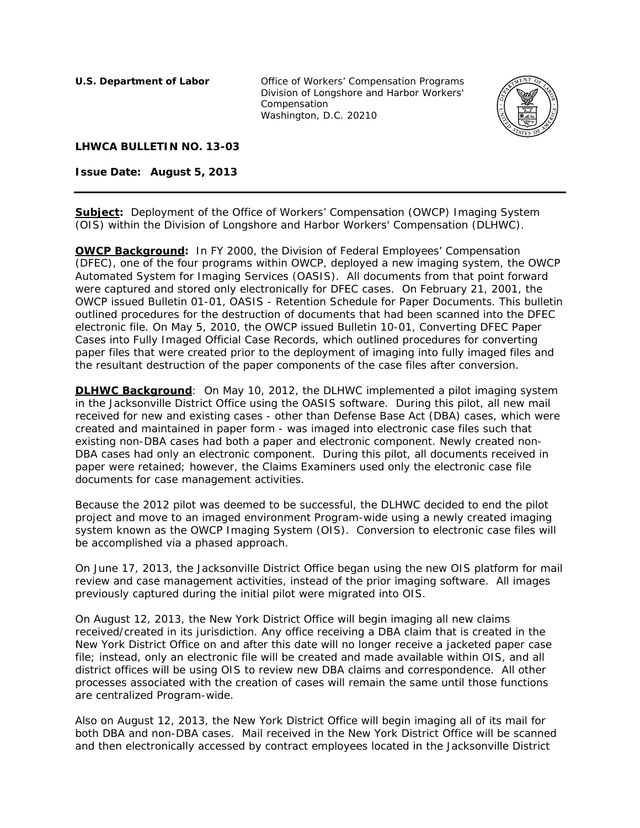**U.S. Department of Labor Office of Workers' Compensation Programs** Division of Longshore and Harbor Workers' Compensation Washington, D.C. 20210



## **LHWCA BULLETIN NO. 13-03**

**Issue Date: August 5, 2013** 

**Subject:** Deployment of the Office of Workers' Compensation (OWCP) Imaging System (OIS) within the Division of Longshore and Harbor Workers' Compensation (DLHWC).

**OWCP Background:** In FY 2000, the Division of Federal Employees' Compensation (DFEC), one of the four programs within OWCP, deployed a new imaging system, the OWCP Automated System for Imaging Services (OASIS). All documents from that point forward were captured and stored only electronically for DFEC cases. On February 21, 2001, the OWCP issued Bulletin 01-01, OASIS - Retention Schedule for Paper Documents. This bulletin outlined procedures for the destruction of documents that had been scanned into the DFEC electronic file. On May 5, 2010, the OWCP issued Bulletin 10-01, Converting DFEC Paper Cases into Fully Imaged Official Case Records, which outlined procedures for converting paper files that were created prior to the deployment of imaging into fully imaged files and the resultant destruction of the paper components of the case files after conversion.

**DLHWC Background**: On May 10, 2012, the DLHWC implemented a pilot imaging system in the Jacksonville District Office using the OASIS software. During this pilot, all new mail received for new and existing cases - other than Defense Base Act (DBA) cases, which were created and maintained in paper form - was imaged into electronic case files such that existing non-DBA cases had both a paper and electronic component. Newly created non-DBA cases had only an electronic component. During this pilot, all documents received in paper were retained; however, the Claims Examiners used only the electronic case file documents for case management activities.

Because the 2012 pilot was deemed to be successful, the DLHWC decided to end the pilot project and move to an imaged environment Program-wide using a newly created imaging system known as the OWCP Imaging System (OIS). Conversion to electronic case files will be accomplished via a phased approach.

On June 17, 2013, the Jacksonville District Office began using the new OIS platform for mail review and case management activities, instead of the prior imaging software. All images previously captured during the initial pilot were migrated into OIS.

On August 12, 2013, the New York District Office will begin imaging all new claims received/created in its jurisdiction. Any office receiving a DBA claim that is created in the New York District Office on and after this date will no longer receive a jacketed paper case file; instead, only an electronic file will be created and made available within OIS, and all district offices will be using OIS to review new DBA claims and correspondence. All other processes associated with the creation of cases will remain the same until those functions are centralized Program-wide.

Also on August 12, 2013, the New York District Office will begin imaging all of its mail for both DBA and non-DBA cases. Mail received in the New York District Office will be scanned and then electronically accessed by contract employees located in the Jacksonville District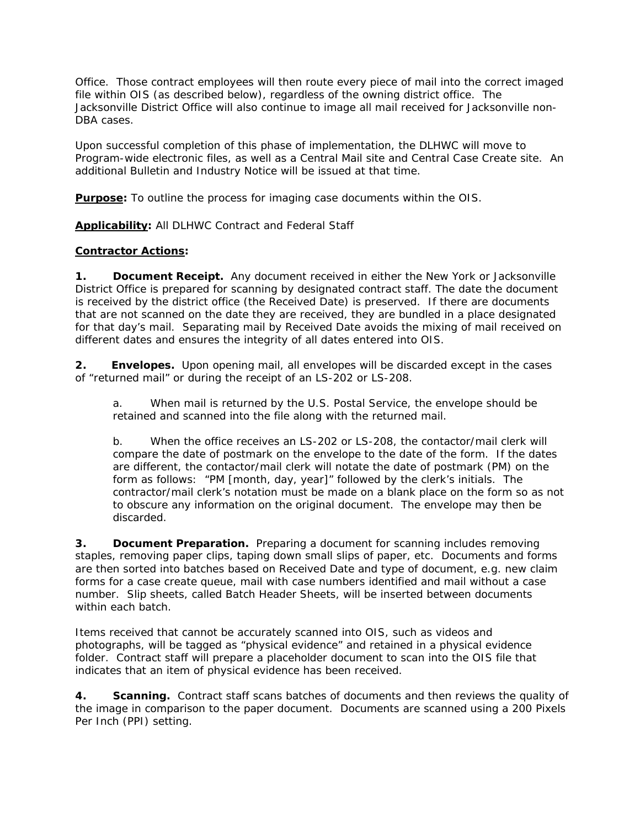Office. Those contract employees will then route every piece of mail into the correct imaged file within OIS (as described below), regardless of the owning district office. The Jacksonville District Office will also continue to image all mail received for Jacksonville non-DBA cases.

Upon successful completion of this phase of implementation, the DLHWC will move to Program-wide electronic files, as well as a Central Mail site and Central Case Create site. An additional Bulletin and Industry Notice will be issued at that time.

**Purpose:** To outline the process for imaging case documents within the OIS.

**Applicability:** All DLHWC Contract and Federal Staff

## **Contractor Actions:**

**1. Document Receipt.** Any document received in either the New York or Jacksonville District Office is prepared for scanning by designated contract staff. The date the document is received by the district office (the Received Date) is preserved. If there are documents that are not scanned on the date they are received, they are bundled in a place designated for that day's mail. Separating mail by Received Date avoids the mixing of mail received on different dates and ensures the integrity of all dates entered into OIS.

**2. Envelopes.** Upon opening mail, all envelopes will be discarded except in the cases of "returned mail" or during the receipt of an LS-202 or LS-208.

a. When mail is returned by the U.S. Postal Service, the envelope should be retained and scanned into the file along with the returned mail.

b. When the office receives an LS-202 or LS-208, the contactor/mail clerk will compare the date of postmark on the envelope to the date of the form. If the dates are different, the contactor/mail clerk will notate the date of postmark (PM) on the form as follows: "PM [month, day, year]" followed by the clerk's initials. The contractor/mail clerk's notation must be made on a blank place on the form so as not to obscure any information on the original document. The envelope may then be discarded.

**3. Document Preparation.** Preparing a document for scanning includes removing staples, removing paper clips, taping down small slips of paper, etc. Documents and forms are then sorted into batches based on Received Date and type of document, e.g. new claim forms for a case create queue, mail with case numbers identified and mail without a case number. Slip sheets, called Batch Header Sheets, will be inserted between documents within each batch.

Items received that cannot be accurately scanned into OIS, such as videos and photographs, will be tagged as "physical evidence" and retained in a physical evidence folder. Contract staff will prepare a placeholder document to scan into the OIS file that indicates that an item of physical evidence has been received.

**4. Scanning.** Contract staff scans batches of documents and then reviews the quality of the image in comparison to the paper document. Documents are scanned using a 200 Pixels Per Inch (PPI) setting.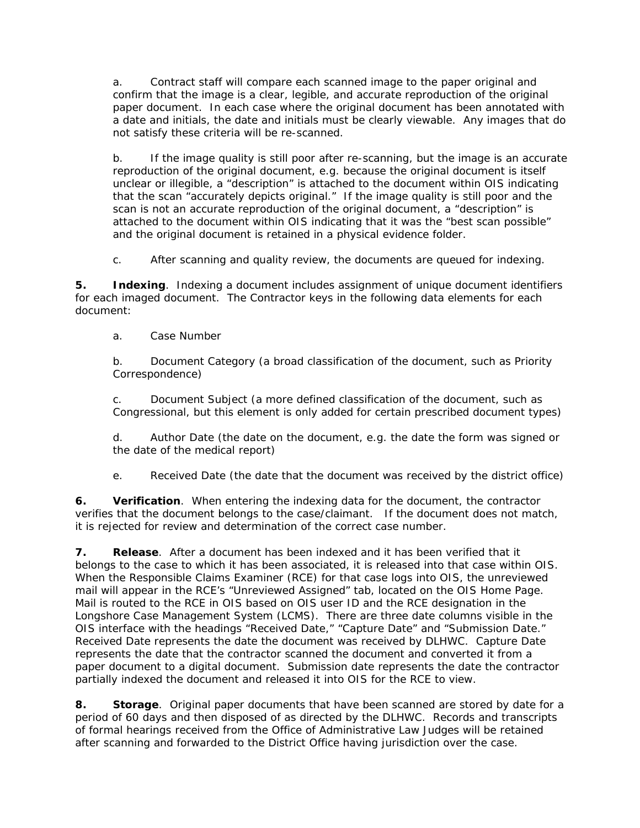a. Contract staff will compare each scanned image to the paper original and confirm that the image is a clear, legible, and accurate reproduction of the original paper document. In each case where the original document has been annotated with a date and initials, the date and initials must be clearly viewable. Any images that do not satisfy these criteria will be re-scanned.

 b. If the image quality is still poor after re-scanning, but the image is an accurate reproduction of the original document, e.g. because the original document is itself unclear or illegible, a "description" is attached to the document within OIS indicating that the scan "accurately depicts original." If the image quality is still poor and the scan is not an accurate reproduction of the original document, a "description" is attached to the document within OIS indicating that it was the "best scan possible" and the original document is retained in a physical evidence folder.

c. After scanning and quality review, the documents are queued for indexing.

**5. Indexing**. Indexing a document includes assignment of unique document identifiers for each imaged document. The Contractor keys in the following data elements for each document:

a. Case Number

 b. Document Category (a broad classification of the document, such as Priority Correspondence)

 c. Document Subject (a more defined classification of the document, such as Congressional, but this element is only added for certain prescribed document types)

 d. Author Date (the date on the document, e.g. the date the form was signed or the date of the medical report)

e. Received Date (the date that the document was received by the district office)

**6. Verification**. When entering the indexing data for the document, the contractor verifies that the document belongs to the case/claimant. If the document does not match, it is rejected for review and determination of the correct case number.

**7. Release**. After a document has been indexed and it has been verified that it belongs to the case to which it has been associated, it is released into that case within OIS. When the Responsible Claims Examiner (RCE) for that case logs into OIS, the unreviewed mail will appear in the RCE's "Unreviewed Assigned" tab, located on the OIS Home Page. Mail is routed to the RCE in OIS based on OIS user ID and the RCE designation in the Longshore Case Management System (LCMS). There are three date columns visible in the OIS interface with the headings "Received Date," "Capture Date" and "Submission Date." Received Date represents the date the document was received by DLHWC. Capture Date represents the date that the contractor scanned the document and converted it from a paper document to a digital document. Submission date represents the date the contractor partially indexed the document and released it into OIS for the RCE to view.

**8. Storage**. Original paper documents that have been scanned are stored by date for a period of 60 days and then disposed of as directed by the DLHWC. Records and transcripts of formal hearings received from the Office of Administrative Law Judges will be retained after scanning and forwarded to the District Office having jurisdiction over the case.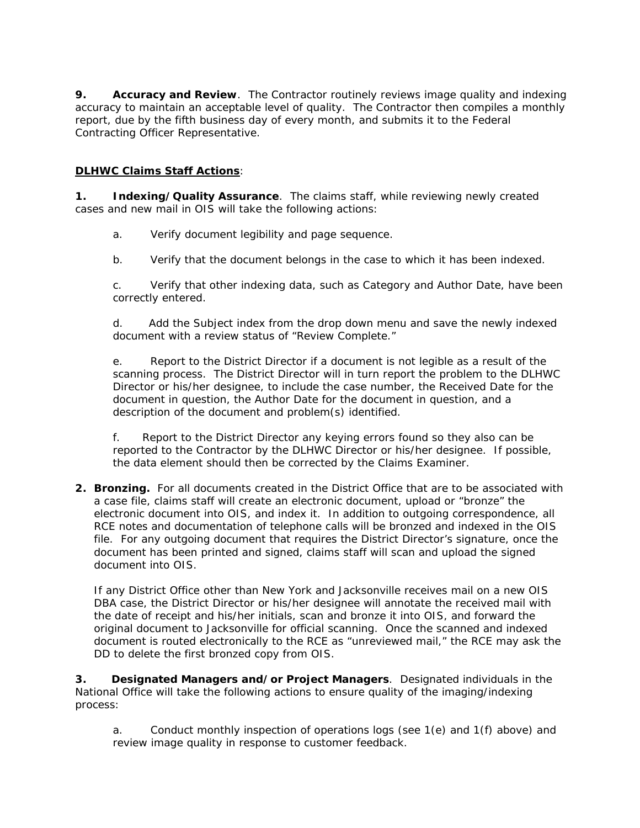**9.** Accuracy and Review. The Contractor routinely reviews image quality and indexing accuracy to maintain an acceptable level of quality. The Contractor then compiles a monthly report, due by the fifth business day of every month, and submits it to the Federal Contracting Officer Representative.

## **DLHWC Claims Staff Actions**:

**1. Indexing/Quality Assurance**. The claims staff, while reviewing newly created cases and new mail in OIS will take the following actions:

- a. Verify document legibility and page sequence.
- b. Verify that the document belongs in the case to which it has been indexed.

c. Verify that other indexing data, such as Category and Author Date, have been correctly entered.

d. Add the Subject index from the drop down menu and save the newly indexed document with a review status of "Review Complete."

e. Report to the District Director if a document is not legible as a result of the scanning process. The District Director will in turn report the problem to the DLHWC Director or his/her designee, to include the case number, the Received Date for the document in question, the Author Date for the document in question, and a description of the document and problem(s) identified.

f. Report to the District Director any keying errors found so they also can be reported to the Contractor by the DLHWC Director or his/her designee. If possible, the data element should then be corrected by the Claims Examiner.

**2. Bronzing.** For all documents created in the District Office that are to be associated with a case file, claims staff will create an electronic document, upload or "bronze" the electronic document into OIS, and index it. In addition to outgoing correspondence, all RCE notes and documentation of telephone calls will be bronzed and indexed in the OIS file. For any outgoing document that requires the District Director's signature, once the document has been printed and signed, claims staff will scan and upload the signed document into OIS.

If any District Office other than New York and Jacksonville receives mail on a new OIS DBA case, the District Director or his/her designee will annotate the received mail with the date of receipt and his/her initials, scan and bronze it into OIS, and forward the original document to Jacksonville for official scanning. Once the scanned and indexed document is routed electronically to the RCE as "unreviewed mail," the RCE may ask the DD to delete the first bronzed copy from OIS.

**3. Designated Managers and/or Project Managers**. Designated individuals in the National Office will take the following actions to ensure quality of the imaging/indexing process:

a. Conduct monthly inspection of operations logs (see 1(e) and 1(f) above) and review image quality in response to customer feedback.